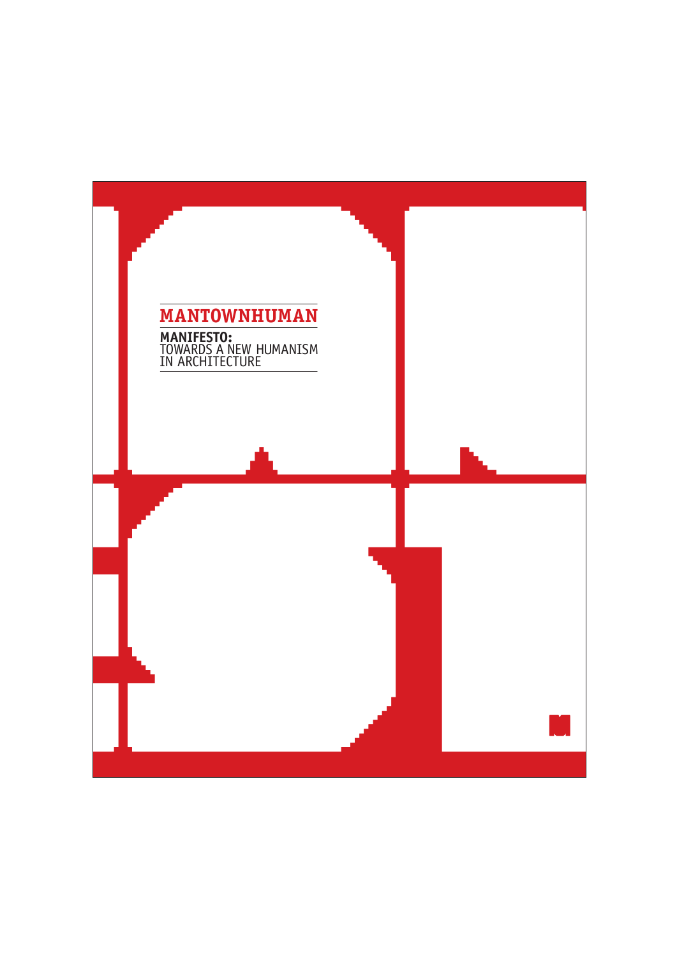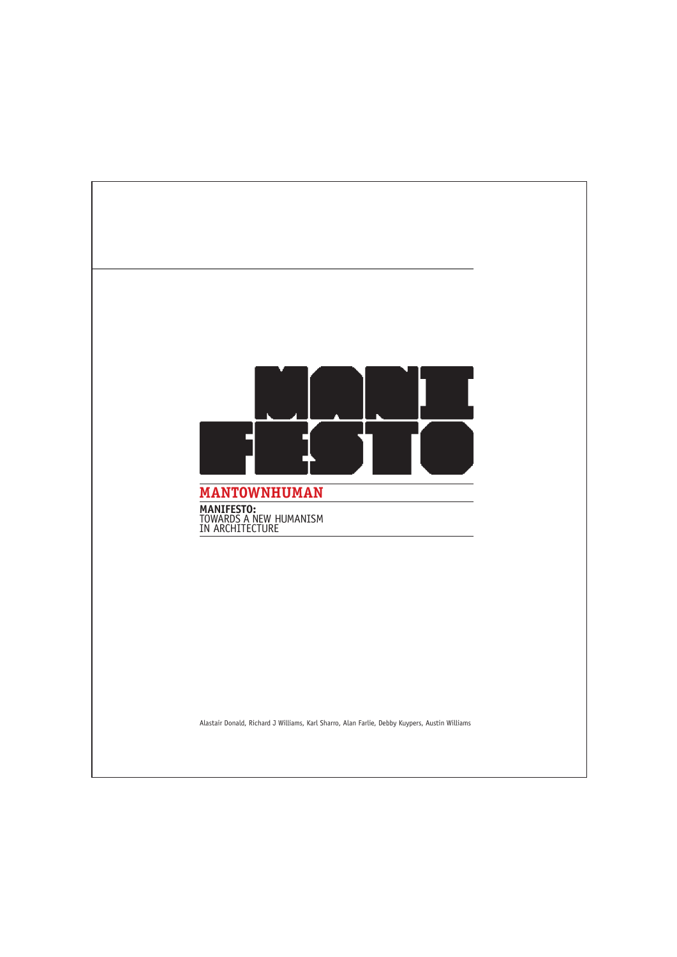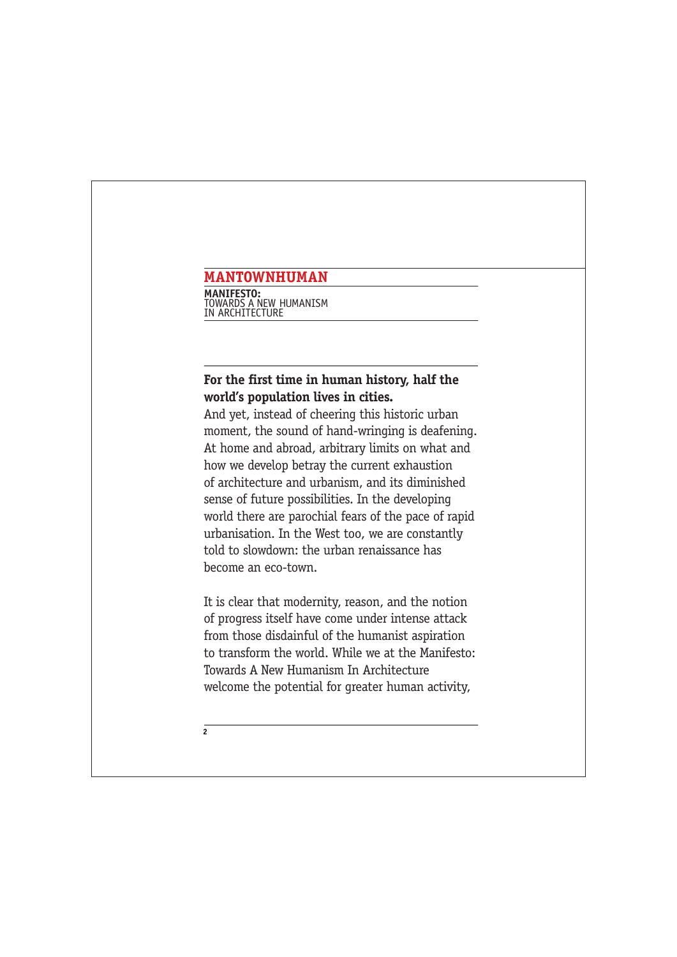**MANIFESTO:** TOWARDS A NEW HUMANISM IN ARCHITECTURE

## **For the first time in human history, half the world's population lives in cities.**

And yet, instead of cheering this historic urban moment, the sound of hand-wringing is deafening. At home and abroad, arbitrary limits on what and how we develop betray the current exhaustion of architecture and urbanism, and its diminished sense of future possibilities. In the developing world there are parochial fears of the pace of rapid urbanisation. In the West too, we are constantly told to slowdown: the urban renaissance has become an eco-town.

It is clear that modernity, reason, and the notion of progress itself have come under intense attack from those disdainful of the humanist aspiration to transform the world. While we at the Manifesto: Towards A New Humanism In Architecture welcome the potential for greater human activity,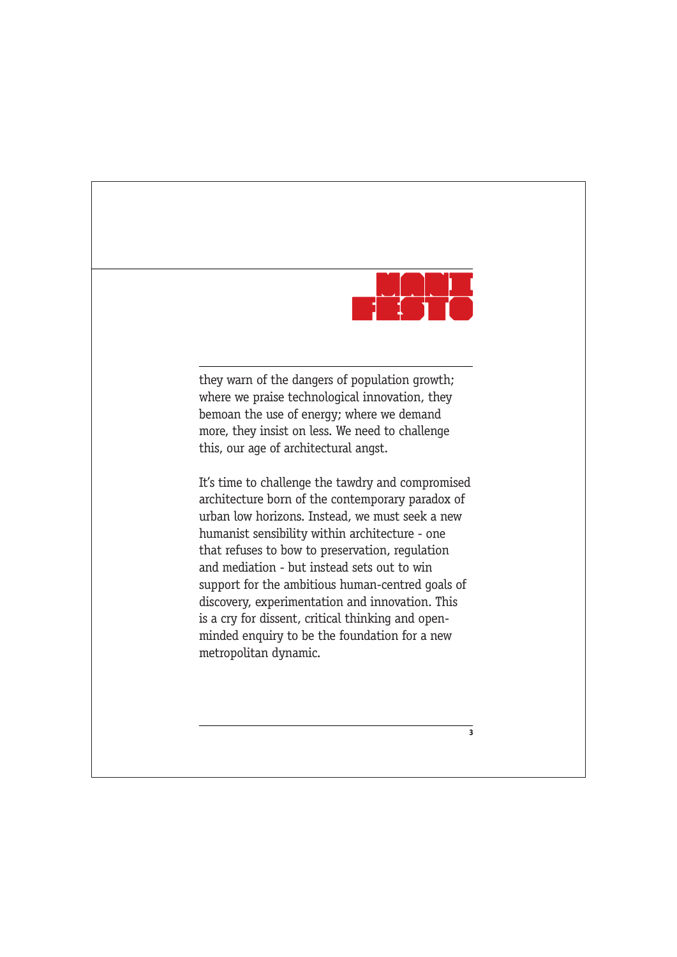

they warn of the dangers of population growth; where we praise technological innovation, they bemoan the use of energy; where we demand more, they insist on less. We need to challenge this, our age of architectural angst.

It's time to challenge the tawdry and compromised architecture born of the contemporary paradox of urban low horizons. Instead, we must seek a new humanist sensibility within architecture - one that refuses to bow to preservation, regulation and mediation - but instead sets out to win support for the ambitious human-centred goals of discovery, experimentation and innovation. This is a cry for dissent, critical thinking and openminded enquiry to be the foundation for a new metropolitan dynamic.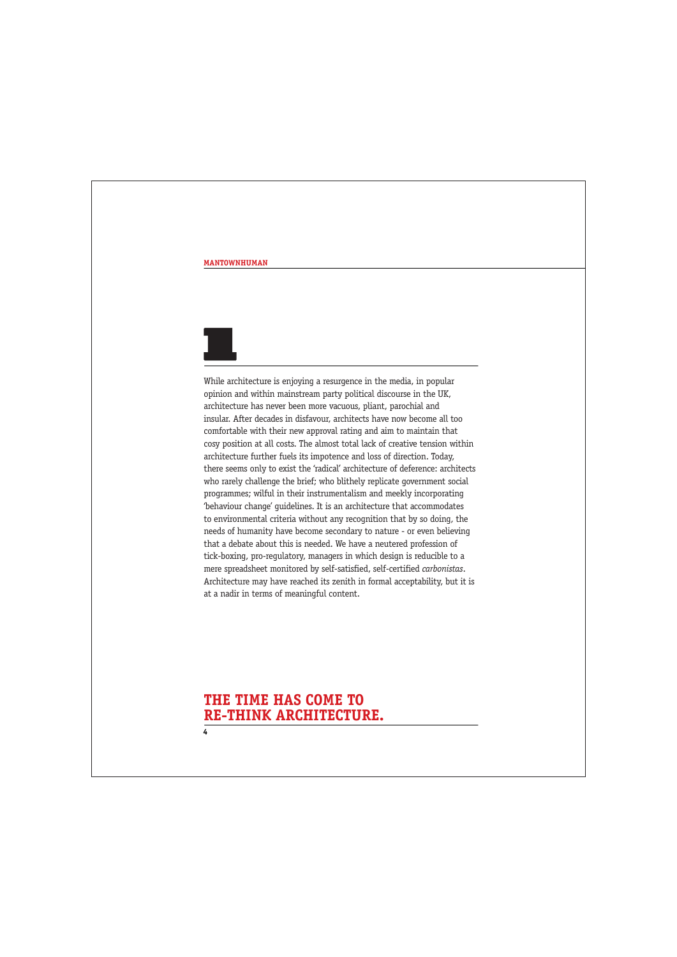

While architecture is enjoying a resurgence in the media, in popular opinion and within mainstream party political discourse in the UK, architecture has never been more vacuous, pliant, parochial and insular. After decades in disfavour, architects have now become all too comfortable with their new approval rating and aim to maintain that cosy position at all costs. The almost total lack of creative tension within architecture further fuels its impotence and loss of direction. Today, there seems only to exist the 'radical' architecture of deference: architects who rarely challenge the brief; who blithely replicate government social programmes; wilful in their instrumentalism and meekly incorporating 'behaviour change' guidelines. It is an architecture that accommodates to environmental criteria without any recognition that by so doing, the needs of humanity have become secondary to nature - or even believing that a debate about this is needed. We have a neutered profession of tick-boxing, pro-regulatory, managers in which design is reducible to a mere spreadsheet monitored by self-satisfied, self-certified *carbonistas*. Architecture may have reached its zenith in formal acceptability, but it is at a nadir in terms of meaningful content.

## **THE TIME HAS COME TO RE-THINK ARCHITECTURE.**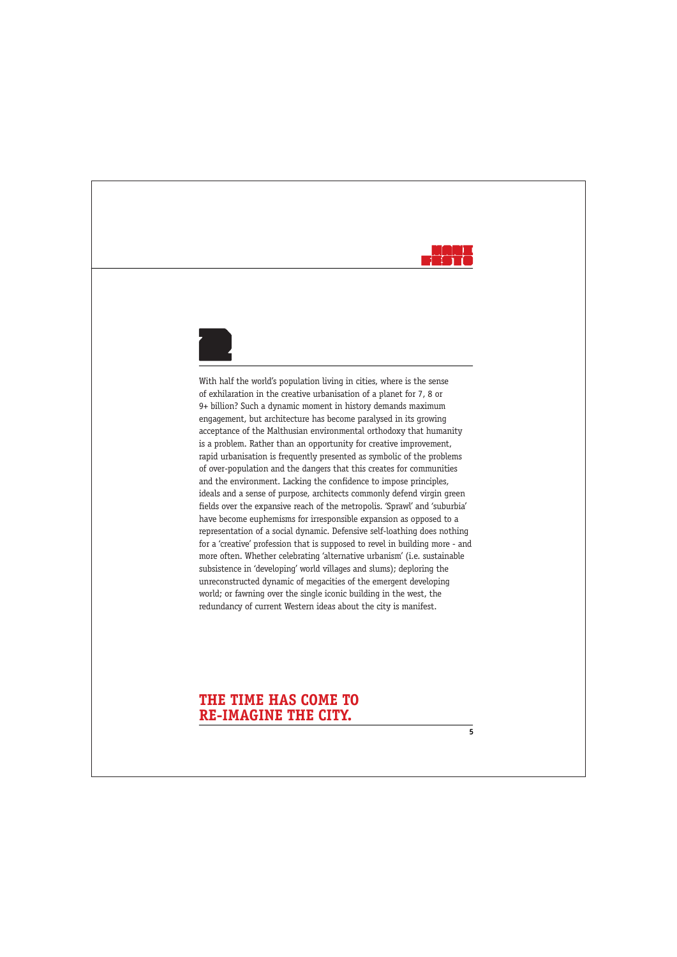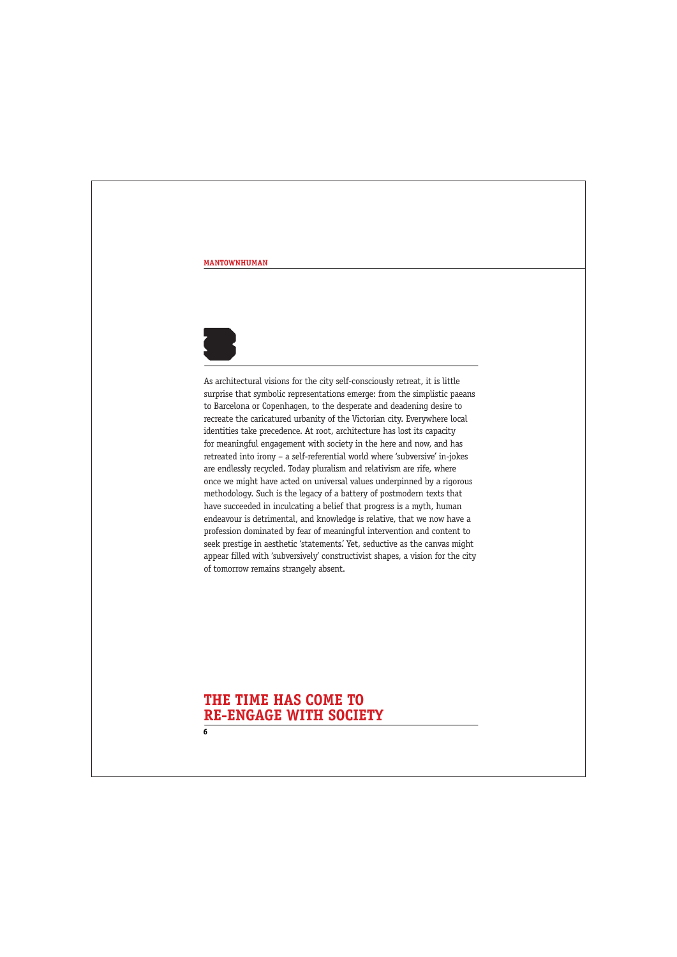

As architectural visions for the city self-consciously retreat, it is little surprise that symbolic representations emerge: from the simplistic paeans to Barcelona or Copenhagen, to the desperate and deadening desire to recreate the caricatured urbanity of the Victorian city. Everywhere local identities take precedence. At root, architecture has lost its capacity for meaningful engagement with society in the here and now, and has retreated into irony – a self-referential world where 'subversive' in-jokes are endlessly recycled. Today pluralism and relativism are rife, where once we might have acted on universal values underpinned by a rigorous methodology. Such is the legacy of a battery of postmodern texts that have succeeded in inculcating a belief that progress is a myth, human endeavour is detrimental, and knowledge is relative, that we now have a profession dominated by fear of meaningful intervention and content to seek prestige in aesthetic 'statements.' Yet, seductive as the canvas might appear filled with 'subversively' constructivist shapes, a vision for the city of tomorrow remains strangely absent.

### **6 THE TIME HAS COME TO RE-ENGAGE WITH SOCIETY**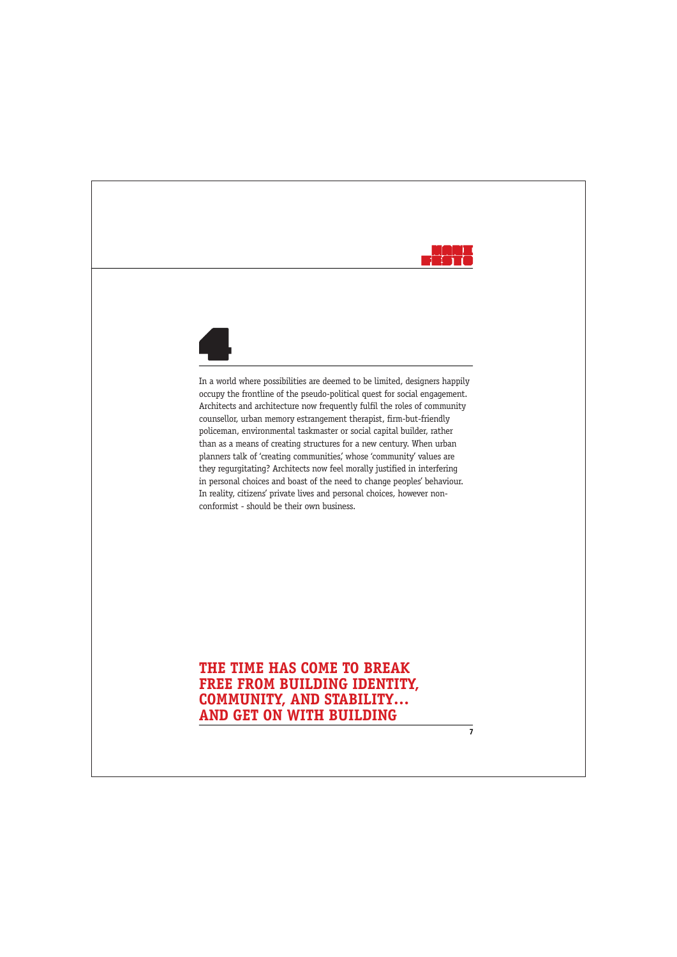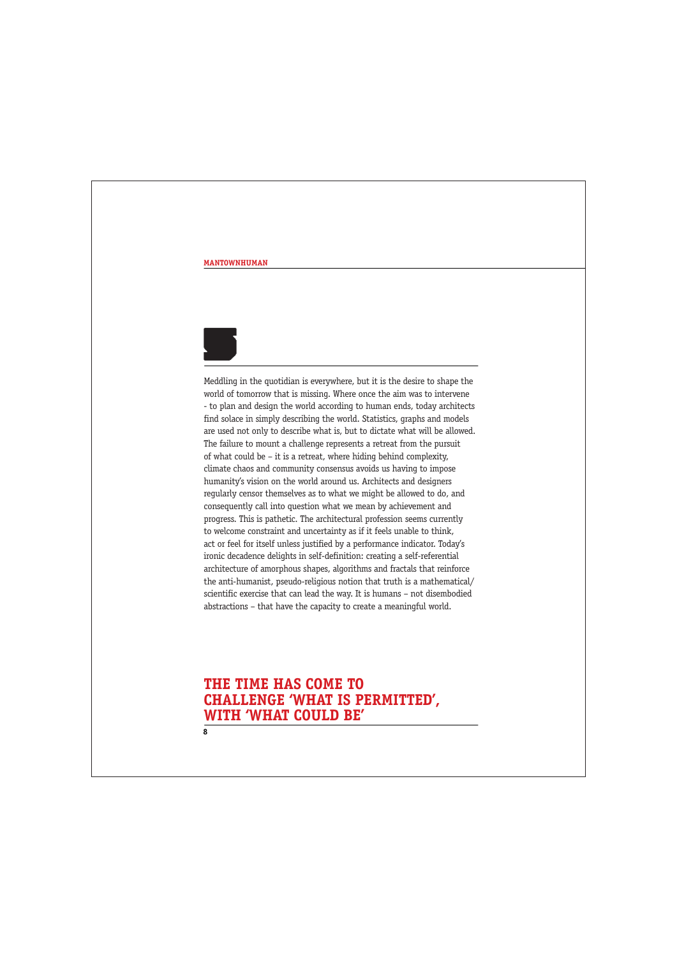

Meddling in the quotidian is everywhere, but it is the desire to shape the world of tomorrow that is missing. Where once the aim was to intervene - to plan and design the world according to human ends, today architects find solace in simply describing the world. Statistics, graphs and models are used not only to describe what is, but to dictate what will be allowed. The failure to mount a challenge represents a retreat from the pursuit of what could be – it is a retreat, where hiding behind complexity, climate chaos and community consensus avoids us having to impose humanity's vision on the world around us. Architects and designers regularly censor themselves as to what we might be allowed to do, and consequently call into question what we mean by achievement and progress. This is pathetic. The architectural profession seems currently to welcome constraint and uncertainty as if it feels unable to think, act or feel for itself unless justified by a performance indicator. Today's ironic decadence delights in self-definition: creating a self-referential architecture of amorphous shapes, algorithms and fractals that reinforce the anti-humanist, pseudo-religious notion that truth is a mathematical/ scientific exercise that can lead the way. It is humans – not disembodied abstractions – that have the capacity to create a meaningful world.

# **THE TIME HAS COME TO CHALLENGE 'WHAT IS PERMITTED', WITH 'WHAT COULD BE'**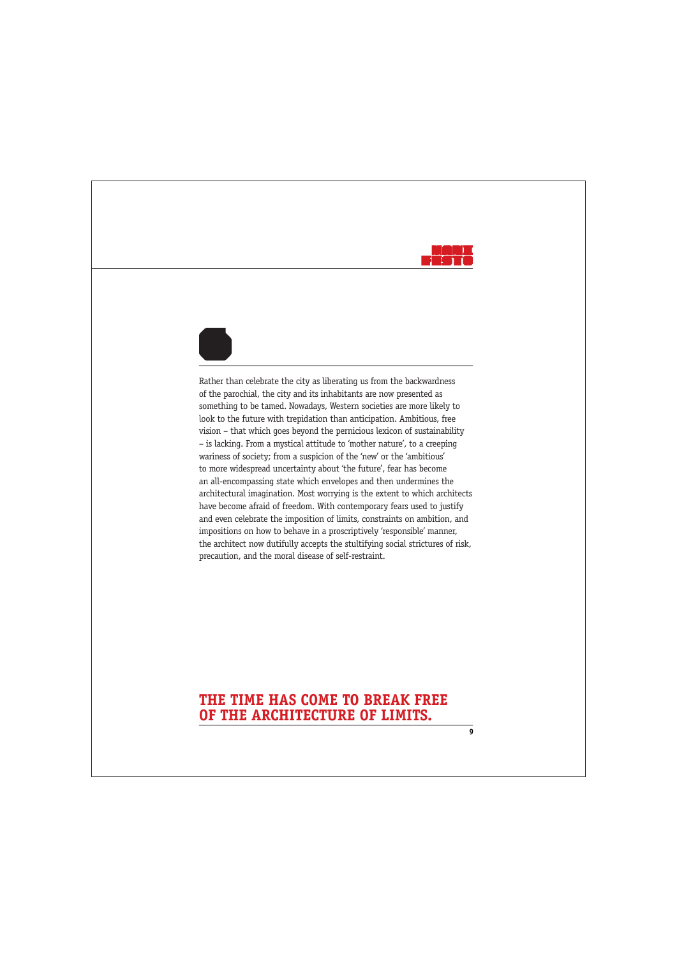

**9**



Rather than celebrate the city as liberating us from the backwardness of the parochial, the city and its inhabitants are now presented as something to be tamed. Nowadays, Western societies are more likely to look to the future with trepidation than anticipation. Ambitious, free vision – that which goes beyond the pernicious lexicon of sustainability – is lacking. From a mystical attitude to 'mother nature', to a creeping wariness of society; from a suspicion of the 'new' or the 'ambitious' to more widespread uncertainty about 'the future', fear has become an all-encompassing state which envelopes and then undermines the architectural imagination. Most worrying is the extent to which architects have become afraid of freedom. With contemporary fears used to justify and even celebrate the imposition of limits, constraints on ambition, and impositions on how to behave in a proscriptively 'responsible' manner, the architect now dutifully accepts the stultifying social strictures of risk, precaution, and the moral disease of self-restraint.

## **THE TIME HAS COME TO BREAK FREE OF THE ARCHITECTURE OF LIMITS.**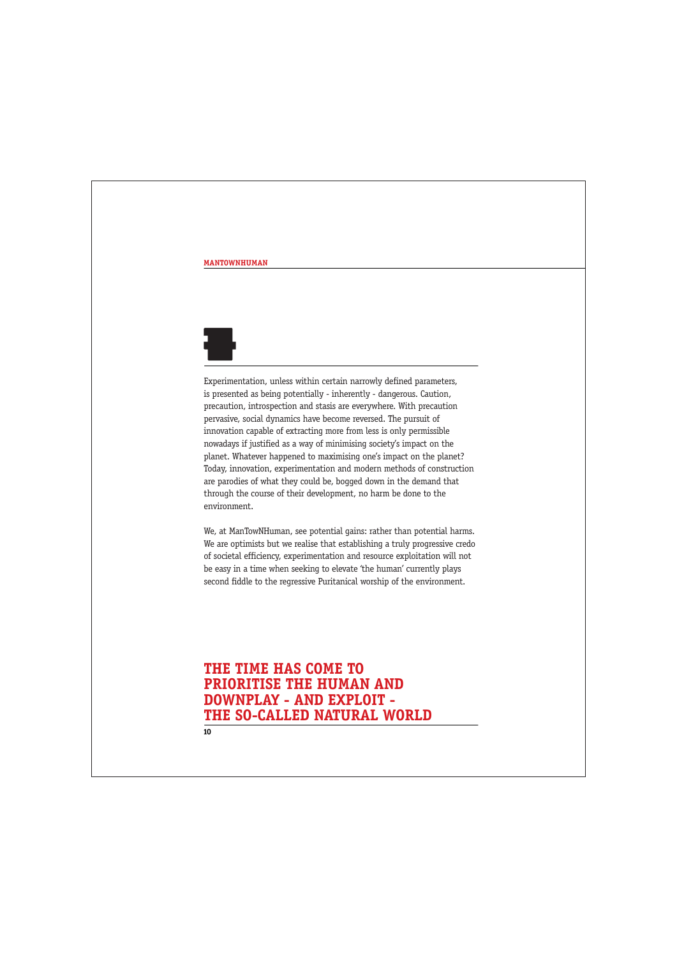

Experimentation, unless within certain narrowly defined parameters, is presented as being potentially - inherently - dangerous. Caution, precaution, introspection and stasis are everywhere. With precaution pervasive, social dynamics have become reversed. The pursuit of innovation capable of extracting more from less is only permissible nowadays if justified as a way of minimising society's impact on the planet. Whatever happened to maximising one's impact on the planet? Today, innovation, experimentation and modern methods of construction are parodies of what they could be, bogged down in the demand that through the course of their development, no harm be done to the environment.

We, at ManTowNHuman, see potential gains: rather than potential harms. We are optimists but we realise that establishing a truly progressive credo of societal efficiency, experimentation and resource exploitation will not be easy in a time when seeking to elevate 'the human' currently plays second fiddle to the regressive Puritanical worship of the environment.

# **THE TIME HAS COME TO PRIORITISE THE HUMAN AND DOWNPLAY - AND EXPLOIT - THE SO-CALLED NATURAL WORLD**

 $\overline{10}$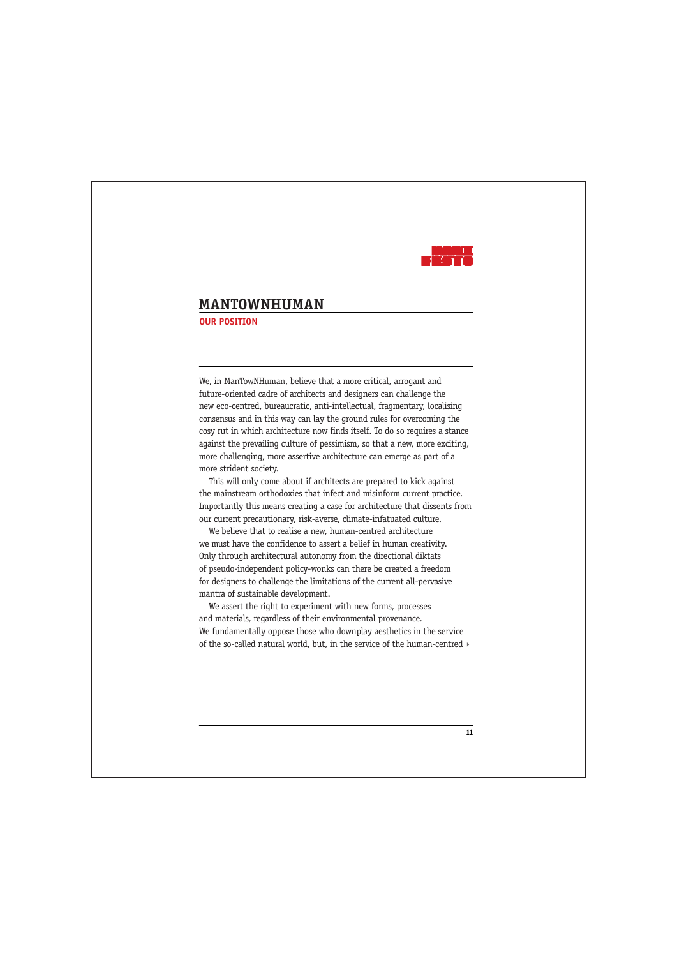

### **MANTOWNHUMAN OUR POSITION**

We, in ManTowNHuman, believe that a more critical, arrogant and future-oriented cadre of architects and designers can challenge the new eco-centred, bureaucratic, anti-intellectual, fragmentary, localising consensus and in this way can lay the ground rules for overcoming the cosy rut in which architecture now finds itself. To do so requires a stance against the prevailing culture of pessimism, so that a new, more exciting, more challenging, more assertive architecture can emerge as part of a more strident society.

This will only come about if architects are prepared to kick against the mainstream orthodoxies that infect and misinform current practice. Importantly this means creating a case for architecture that dissents from our current precautionary, risk-averse, climate-infatuated culture.

We believe that to realise a new, human-centred architecture we must have the confidence to assert a belief in human creativity. Only through architectural autonomy from the directional diktats of pseudo-independent policy-wonks can there be created a freedom for designers to challenge the limitations of the current all-pervasive mantra of sustainable development.

We assert the right to experiment with new forms, processes and materials, regardless of their environmental provenance. We fundamentally oppose those who downplay aesthetics in the service of the so-called natural world, but, in the service of the human-centred  $\rightarrow$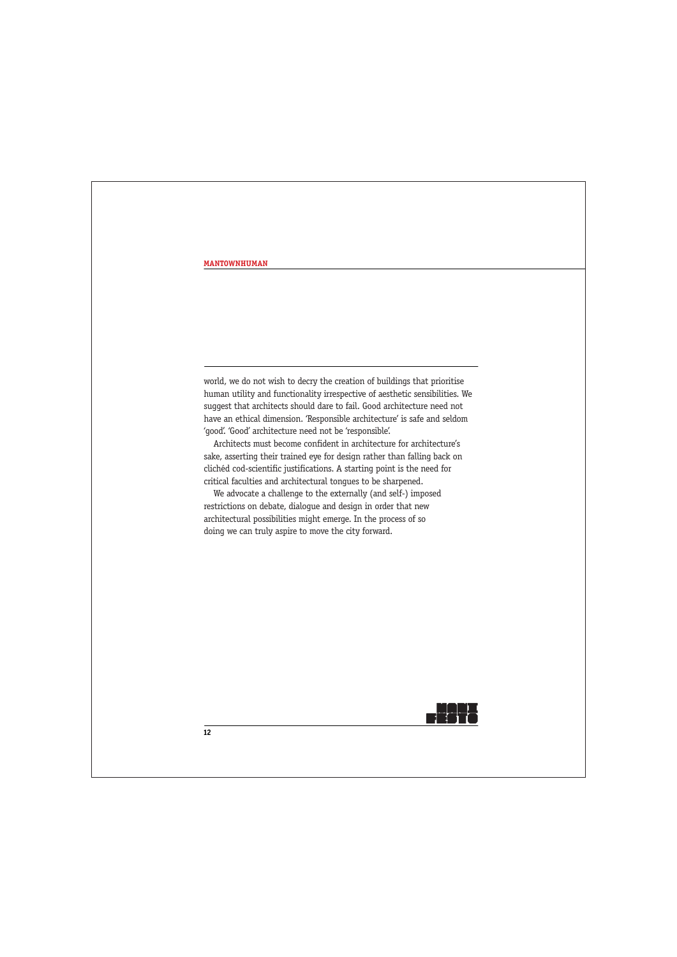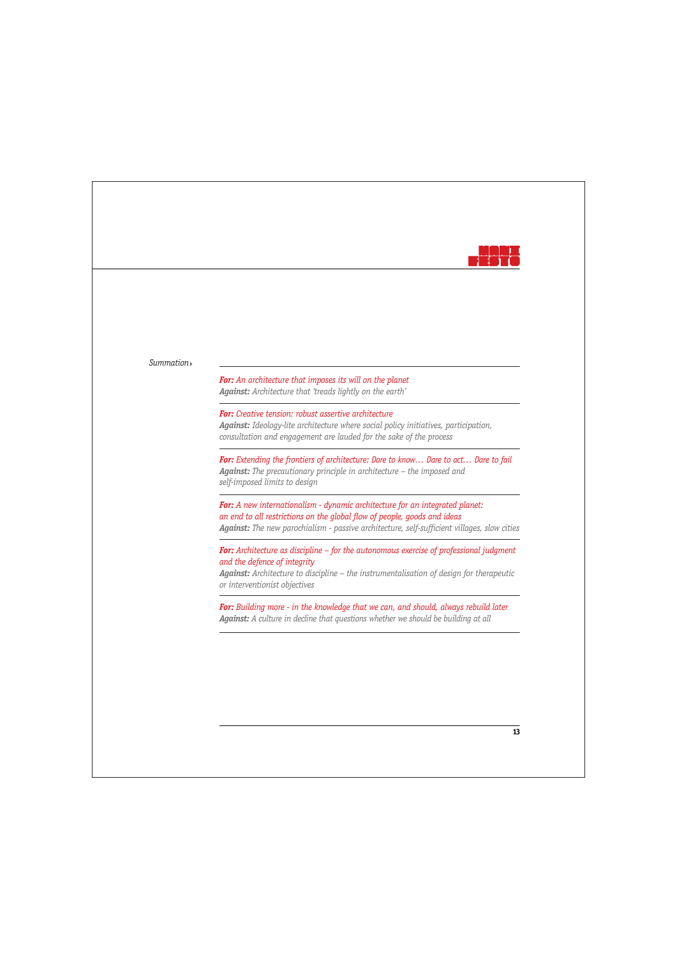